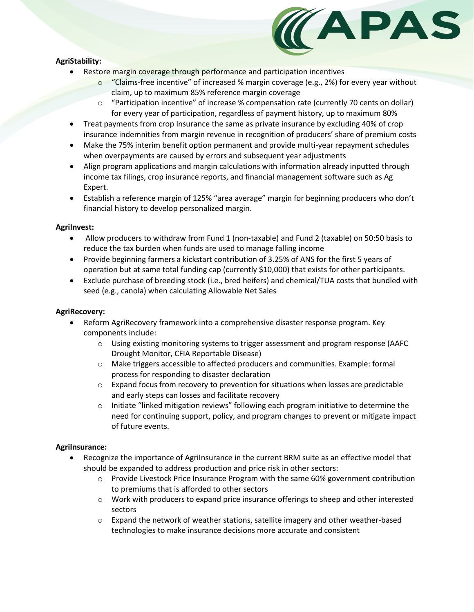## **AgriStability:**



- Restore margin coverage through performance and participation incentives
	- o "Claims-free incentive" of increased % margin coverage (e.g., 2%) for every year without claim, up to maximum 85% reference margin coverage
	- $\circ$  "Participation incentive" of increase % compensation rate (currently 70 cents on dollar) for every year of participation, regardless of payment history, up to maximum 80%
- Treat payments from crop Insurance the same as private insurance by excluding 40% of crop insurance indemnities from margin revenue in recognition of producers' share of premium costs
- Make the 75% interim benefit option permanent and provide multi-year repayment schedules when overpayments are caused by errors and subsequent year adjustments
- Align program applications and margin calculations with information already inputted through income tax filings, crop insurance reports, and financial management software such as Ag Expert.
- Establish a reference margin of 125% "area average" margin for beginning producers who don't financial history to develop personalized margin.

### **AgriInvest:**

- Allow producers to withdraw from Fund 1 (non-taxable) and Fund 2 (taxable) on 50:50 basis to reduce the tax burden when funds are used to manage falling income
- Provide beginning farmers a kickstart contribution of 3.25% of ANS for the first 5 years of operation but at same total funding cap (currently \$10,000) that exists for other participants.
- Exclude purchase of breeding stock (i.e., bred heifers) and chemical/TUA costs that bundled with seed (e.g., canola) when calculating Allowable Net Sales

# **AgriRecovery:**

- Reform AgriRecovery framework into a comprehensive disaster response program. Key components include:
	- o Using existing monitoring systems to trigger assessment and program response (AAFC Drought Monitor, CFIA Reportable Disease)
	- o Make triggers accessible to affected producers and communities. Example: formal process for responding to disaster declaration
	- $\circ$  Expand focus from recovery to prevention for situations when losses are predictable and early steps can losses and facilitate recovery
	- o Initiate "linked mitigation reviews" following each program initiative to determine the need for continuing support, policy, and program changes to prevent or mitigate impact of future events.

### **AgriInsurance:**

- Recognize the importance of AgriInsurance in the current BRM suite as an effective model that should be expanded to address production and price risk in other sectors:
	- $\circ$  Provide Livestock Price Insurance Program with the same 60% government contribution to premiums that is afforded to other sectors
	- $\circ$  Work with producers to expand price insurance offerings to sheep and other interested sectors
	- $\circ$  Expand the network of weather stations, satellite imagery and other weather-based technologies to make insurance decisions more accurate and consistent